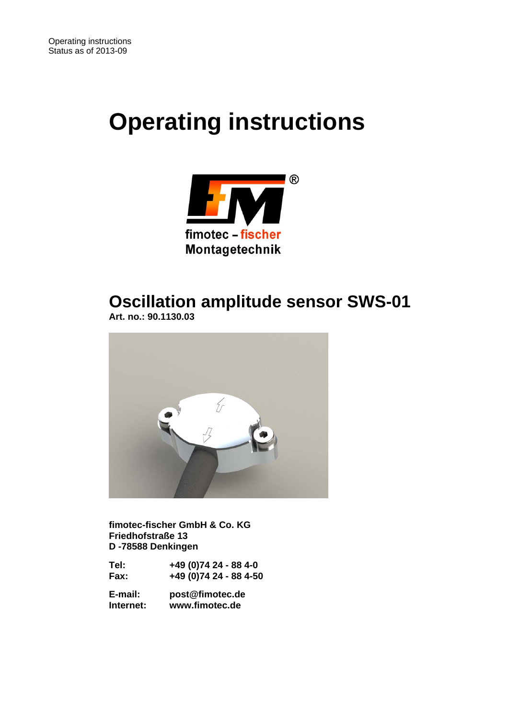# **Operating instructions**



## **Oscillation amplitude sensor SWS-01**

 **Art. no.: 90.1130.03** 



 **fimotec-fischer GmbH & Co. KG Friedhofstraße 13 D -78588 Denkingen** 

 **Tel: +49 (0)74 24 - 88 4-0 Fax: +49 (0)74 24 - 88 4-50** 

 **E-mail: post@fimotec.de Internet: www.fimotec.de**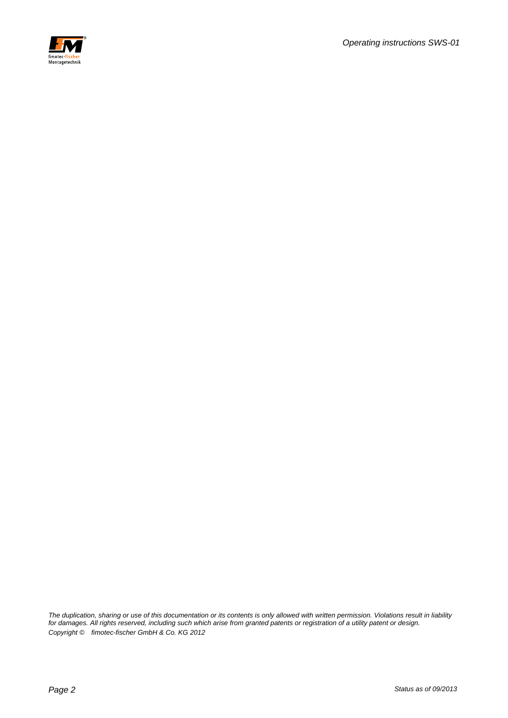

*The duplication, sharing or use of this documentation or its contents is only allowed with written permission. Violations result in liability for damages. All rights reserved, including such which arise from granted patents or registration of a utility patent or design. Copyright © fimotec-fischer GmbH & Co. KG 2012*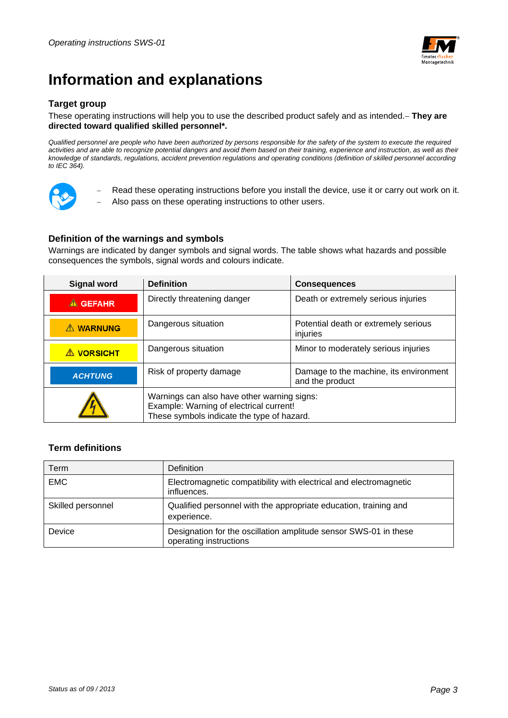

## **Information and explanations**

#### **Target group**

#### These operating instructions will help you to use the described product safely and as intended. **They are directed toward qualified skilled personnel\*.**

*Qualified personnel are people who have been authorized by persons responsible for the safety of the system to execute the required*  activities and are able to recognize potential dangers and avoid them based on their training, experience and instruction, as well as their *knowledge of standards, regulations, accident prevention regulations and operating conditions (definition of skilled personnel according to IEC 364).* 



 Read these operating instructions before you install the device, use it or carry out work on it. Also pass on these operating instructions to other users.

#### **Definition of the warnings and symbols**

Warnings are indicated by danger symbols and signal words. The table shows what hazards and possible consequences the symbols, signal words and colours indicate.

| <b>Signal word</b> | <b>Definition</b>                                                                                                                    | <b>Consequences</b>                                       |  |
|--------------------|--------------------------------------------------------------------------------------------------------------------------------------|-----------------------------------------------------------|--|
| $\triangle$ GEFAHR | Directly threatening danger                                                                                                          | Death or extremely serious injuries                       |  |
| A WARNUNG          | Dangerous situation                                                                                                                  | Potential death or extremely serious<br>injuries          |  |
| <b>A VORSICHT</b>  | Dangerous situation                                                                                                                  | Minor to moderately serious injuries                      |  |
| <b>ACHTUNG</b>     | Risk of property damage                                                                                                              | Damage to the machine, its environment<br>and the product |  |
|                    | Warnings can also have other warning signs:<br>Example: Warning of electrical current!<br>These symbols indicate the type of hazard. |                                                           |  |

#### **Term definitions**

| Term              | <b>Definition</b>                                                                          |
|-------------------|--------------------------------------------------------------------------------------------|
| <b>EMC</b>        | Electromagnetic compatibility with electrical and electromagnetic<br>influences.           |
| Skilled personnel | Qualified personnel with the appropriate education, training and<br>experience.            |
| Device            | Designation for the oscillation amplitude sensor SWS-01 in these<br>operating instructions |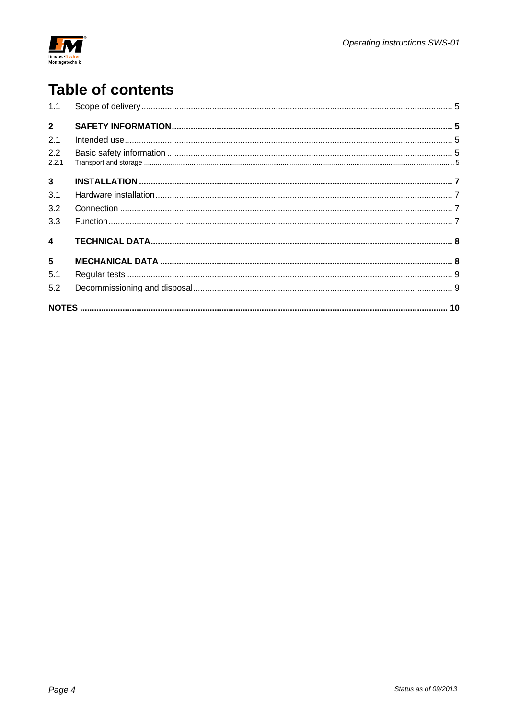

## **Table of contents**

| 1.1                     |  |
|-------------------------|--|
| $2^{\circ}$             |  |
| 2.1                     |  |
| 2.2<br>2.2.1            |  |
| $\overline{3}$          |  |
| 3.1                     |  |
| 3.2                     |  |
| 3.3                     |  |
| $\overline{\mathbf{4}}$ |  |
| 5                       |  |
| 5.1                     |  |
| 5.2                     |  |
|                         |  |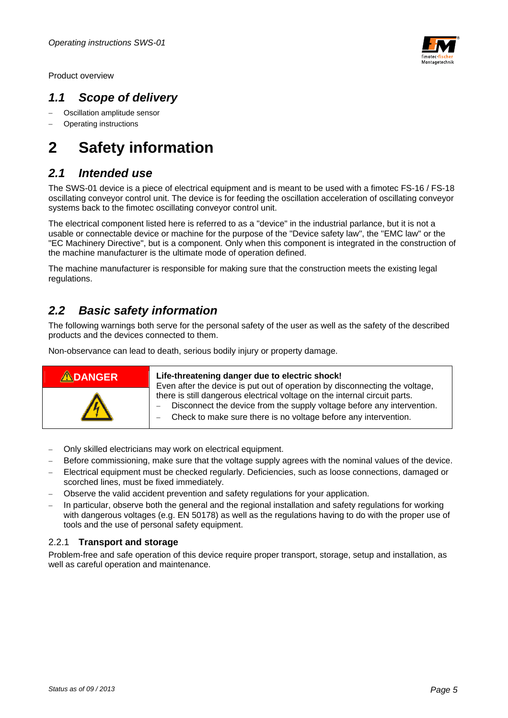

Product overview

### *1.1 Scope of delivery*

- Oscillation amplitude sensor
- Operating instructions

## **2 Safety information**

### *2.1 Intended use*

The SWS-01 device is a piece of electrical equipment and is meant to be used with a fimotec FS-16 / FS-18 oscillating conveyor control unit. The device is for feeding the oscillation acceleration of oscillating conveyor systems back to the fimotec oscillating conveyor control unit.

The electrical component listed here is referred to as a "device" in the industrial parlance, but it is not a usable or connectable device or machine for the purpose of the "Device safety law", the "EMC law" or the "EC Machinery Directive", but is a component. Only when this component is integrated in the construction of the machine manufacturer is the ultimate mode of operation defined.

The machine manufacturer is responsible for making sure that the construction meets the existing legal regulations.

### *2.2 Basic safety information*

The following warnings both serve for the personal safety of the user as well as the safety of the described products and the devices connected to them.

Non-observance can lead to death, serious bodily injury or property damage.



- Only skilled electricians may work on electrical equipment.
- Before commissioning, make sure that the voltage supply agrees with the nominal values of the device.
- Electrical equipment must be checked regularly. Deficiencies, such as loose connections, damaged or scorched lines, must be fixed immediately.
- Observe the valid accident prevention and safety regulations for your application.
- In particular, observe both the general and the regional installation and safety regulations for working with dangerous voltages (e.g. EN 50178) as well as the regulations having to do with the proper use of tools and the use of personal safety equipment.

#### 2.2.1 **Transport and storage**

Problem-free and safe operation of this device require proper transport, storage, setup and installation, as well as careful operation and maintenance.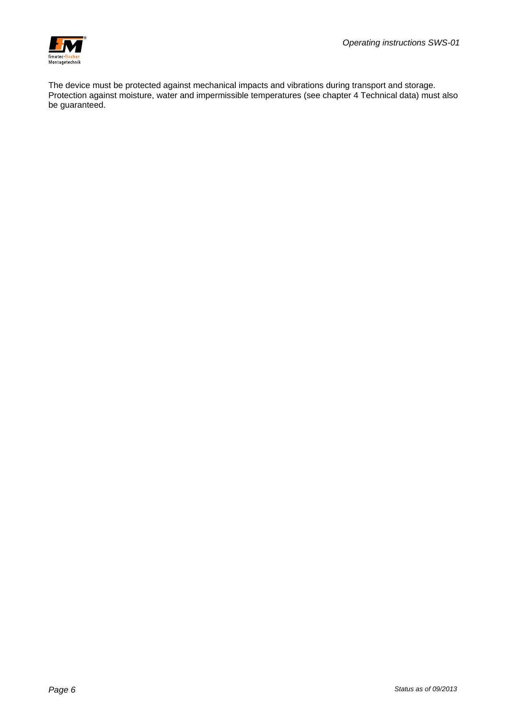

The device must be protected against mechanical impacts and vibrations during transport and storage. Protection against moisture, water and impermissible temperatures (see chapter 4 Technical data) must also be guaranteed.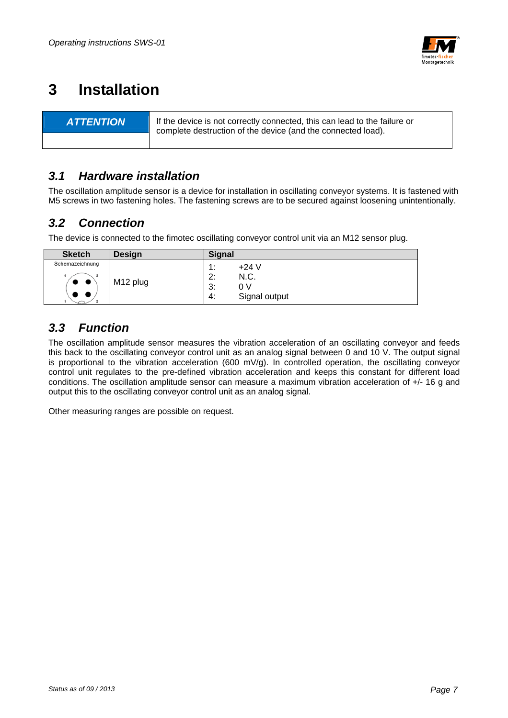

## **3 Installation**

**ATTENTION** If the device is not correctly connected, this can lead to the failure or complete destruction of the device (and the connected load).

### *3.1 Hardware installation*

The oscillation amplitude sensor is a device for installation in oscillating conveyor systems. It is fastened with M5 screws in two fastening holes. The fastening screws are to be secured against loosening unintentionally.

### *3.2 Connection*

The device is connected to the fimotec oscillating conveyor control unit via an M12 sensor plug.

| <b>Sketch</b>                          | <b>Design</b>        | <b>Signal</b>                                                               |
|----------------------------------------|----------------------|-----------------------------------------------------------------------------|
| Schemazeichnung<br>$\bullet$ $\bullet$ | M <sub>12</sub> plug | $+24$ V<br>$\cdot$<br>. .<br>N.C.<br>2:<br>3:<br>0 V<br>Signal output<br>4: |

### *3.3 Function*

The oscillation amplitude sensor measures the vibration acceleration of an oscillating conveyor and feeds this back to the oscillating conveyor control unit as an analog signal between 0 and 10 V. The output signal is proportional to the vibration acceleration (600 mV/g). In controlled operation, the oscillating conveyor control unit regulates to the pre-defined vibration acceleration and keeps this constant for different load conditions. The oscillation amplitude sensor can measure a maximum vibration acceleration of +/- 16 g and output this to the oscillating conveyor control unit as an analog signal.

Other measuring ranges are possible on request.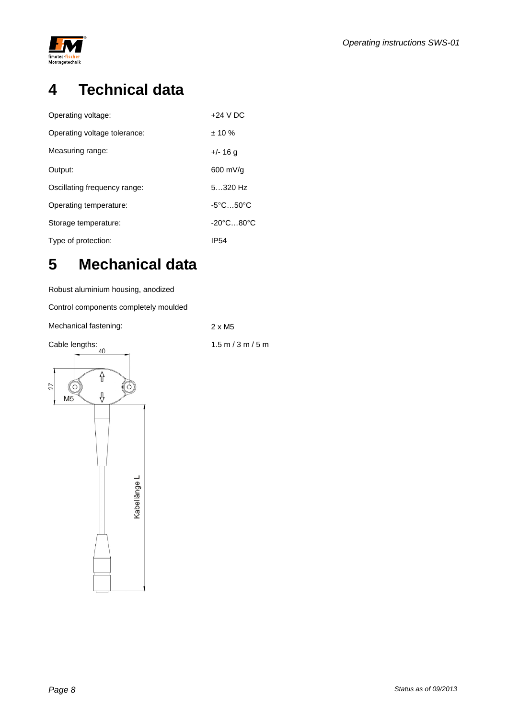

## **4 Technical data**

| Operating voltage:           | $+24$ V DC                     |
|------------------------------|--------------------------------|
| Operating voltage tolerance: | $± 10 \%$                      |
| Measuring range:             | +/- 16 a                       |
| Output:                      | 600 mV/g                       |
| Oscillating frequency range: | $5320$ Hz                      |
| Operating temperature:       | $-5^{\circ}$ C $50^{\circ}$ C  |
| Storage temperature:         | $-20^{\circ}$ C80 $^{\circ}$ C |
| Type of protection:          | IP54                           |

## **5 Mechanical data**

Robust aluminium housing, anodized

Control components completely moulded

Mechanical fastening: 2 x M5

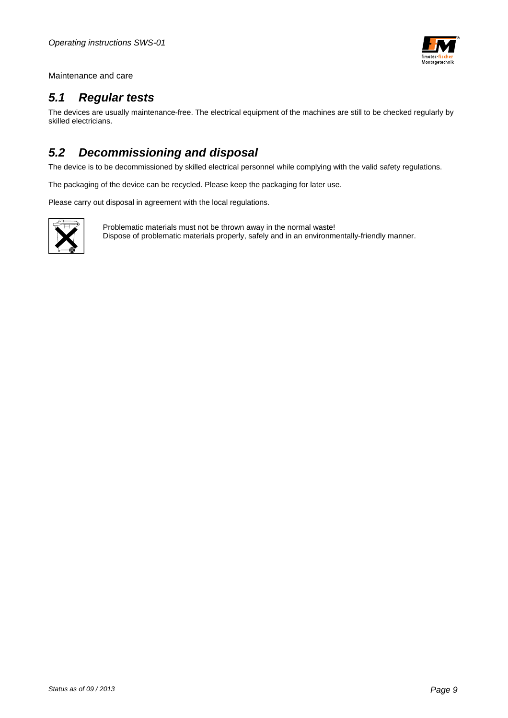

Maintenance and care

### *5.1 Regular tests*

The devices are usually maintenance-free. The electrical equipment of the machines are still to be checked regularly by skilled electricians.

### *5.2 Decommissioning and disposal*

The device is to be decommissioned by skilled electrical personnel while complying with the valid safety regulations.

The packaging of the device can be recycled. Please keep the packaging for later use.

Please carry out disposal in agreement with the local regulations.



Problematic materials must not be thrown away in the normal waste! Dispose of problematic materials properly, safely and in an environmentally-friendly manner.